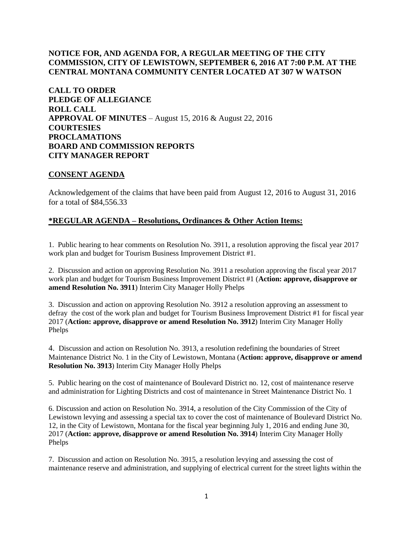# **NOTICE FOR, AND AGENDA FOR, A REGULAR MEETING OF THE CITY COMMISSION, CITY OF LEWISTOWN, SEPTEMBER 6, 2016 AT 7:00 P.M. AT THE CENTRAL MONTANA COMMUNITY CENTER LOCATED AT 307 W WATSON**

**CALL TO ORDER PLEDGE OF ALLEGIANCE ROLL CALL APPROVAL OF MINUTES** – August 15, 2016 & August 22, 2016 **COURTESIES PROCLAMATIONS BOARD AND COMMISSION REPORTS CITY MANAGER REPORT** 

## **CONSENT AGENDA**

Acknowledgement of the claims that have been paid from August 12, 2016 to August 31, 2016 for a total of \$84,556.33

## **\*REGULAR AGENDA – Resolutions, Ordinances & Other Action Items:**

1. Public hearing to hear comments on Resolution No. 3911, a resolution approving the fiscal year 2017 work plan and budget for Tourism Business Improvement District #1.

2. Discussion and action on approving Resolution No. 3911 a resolution approving the fiscal year 2017 work plan and budget for Tourism Business Improvement District #1 (**Action: approve, disapprove or amend Resolution No. 3911**) Interim City Manager Holly Phelps

3. Discussion and action on approving Resolution No. 3912 a resolution approving an assessment to defray the cost of the work plan and budget for Tourism Business Improvement District #1 for fiscal year 2017 (**Action: approve, disapprove or amend Resolution No. 3912**) Interim City Manager Holly Phelps

4. Discussion and action on Resolution No. 3913, a resolution redefining the boundaries of Street Maintenance District No. 1 in the City of Lewistown, Montana (**Action: approve, disapprove or amend Resolution No. 3913**) Interim City Manager Holly Phelps

5. Public hearing on the cost of maintenance of Boulevard District no. 12, cost of maintenance reserve and administration for Lighting Districts and cost of maintenance in Street Maintenance District No. 1

6. Discussion and action on Resolution No. 3914, a resolution of the City Commission of the City of Lewistown levying and assessing a special tax to cover the cost of maintenance of Boulevard District No. 12, in the City of Lewistown, Montana for the fiscal year beginning July 1, 2016 and ending June 30, 2017 (**Action: approve, disapprove or amend Resolution No. 3914**) Interim City Manager Holly Phelps

7. Discussion and action on Resolution No. 3915, a resolution levying and assessing the cost of maintenance reserve and administration, and supplying of electrical current for the street lights within the